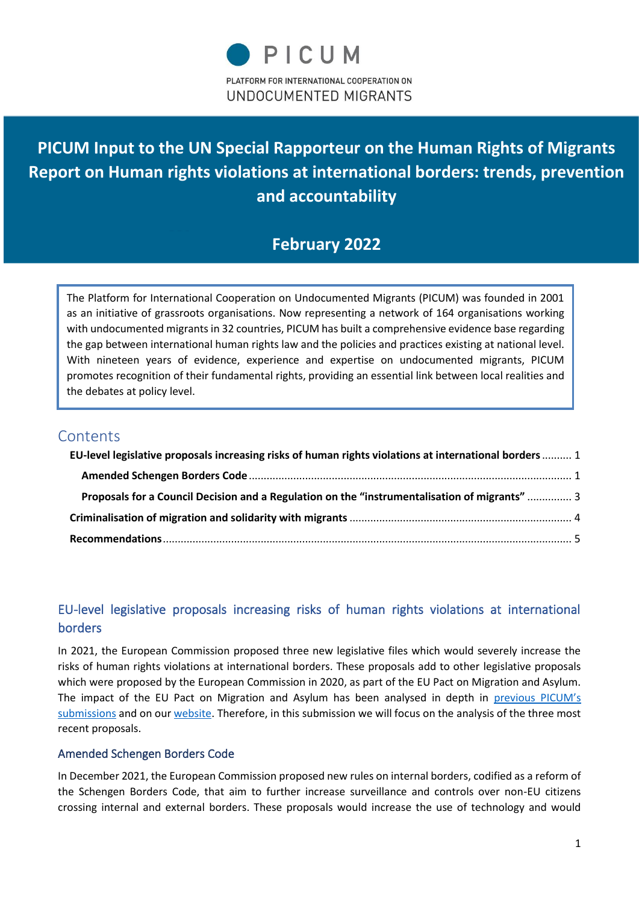# **PICUM Input to the UN Special Rapporteur on the Human Rights of Migrants Report on Human rights violations at international borders: trends, prevention and accountability**

# **February 2022**

The Platform for International Cooperation on Undocumented Migrants (PICUM) was founded in 2001 as an initiative of grassroots organisations. Now representing a network of 164 organisations working with undocumented migrants in 32 countries, PICUM has built a comprehensive evidence base regarding the gap between international human rights law and the policies and practices existing at national level. With nineteen years of evidence, experience and expertise on undocumented migrants, PICUM promotes recognition of their fundamental rights, providing an essential link between local realities and the debates at policy level.

### **Contents**

| EU-level legislative proposals increasing risks of human rights violations at international borders  1 |  |
|--------------------------------------------------------------------------------------------------------|--|
|                                                                                                        |  |
| Proposals for a Council Decision and a Regulation on the "instrumentalisation of migrants"  3          |  |
|                                                                                                        |  |
|                                                                                                        |  |

## <span id="page-0-0"></span>EU-level legislative proposals increasing risks of human rights violations at international borders

In 2021, the European Commission proposed three new legislative files which would severely increase the risks of human rights violations at international borders. These proposals add to other legislative proposals which were proposed by the European Commission in 2020, as part of the EU Pact on Migration and Asylum. The impact of the EU Pact on Migration and Asylum has been analysed in depth in [previous PICUM's](https://migrationnetwork.un.org/sites/g/files/tmzbdl416/files/docs/written_submission_ahead_of_the_regional_review_of_the_gcm_in_the_unece_region.pdf)  [submissions](https://migrationnetwork.un.org/sites/g/files/tmzbdl416/files/docs/written_submission_ahead_of_the_regional_review_of_the_gcm_in_the_unece_region.pdf) and on our [website.](https://picum.org/more-detention-fewer-safeguards-how-the-new-eu-pact-on-migration-and-asylum-creates-new-loopholes-to-ignore-human-rights-obligations/) Therefore, in this submission we will focus on the analysis of the three most recent proposals.

#### <span id="page-0-1"></span>Amended Schengen Borders Code

In December 2021, the European Commission proposed new rules on internal borders, codified as a reform of the Schengen Borders Code, that aim to further increase surveillance and controls over non-EU citizens crossing internal and external borders. These proposals would increase the use of technology and would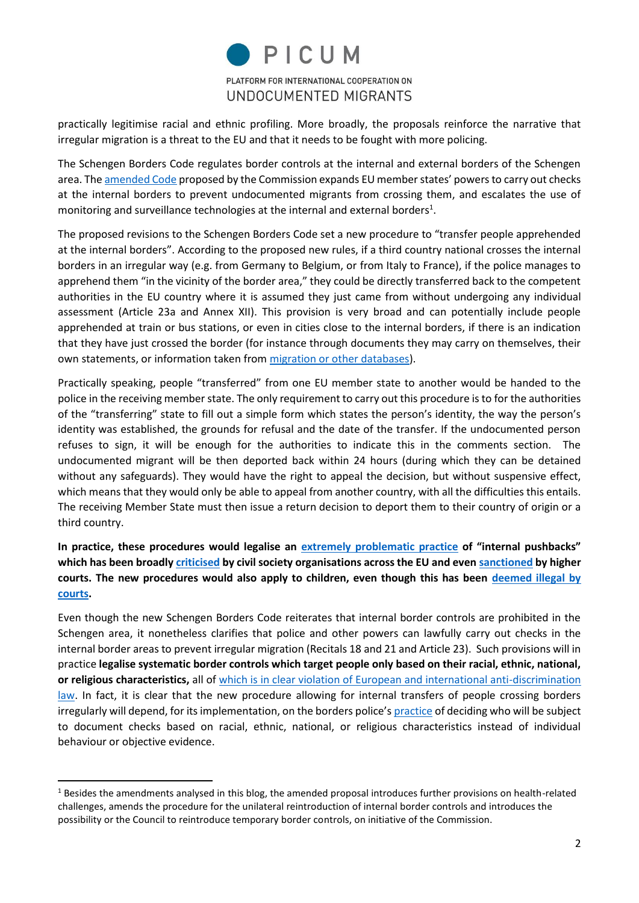

practically legitimise racial and ethnic profiling. More broadly, the proposals reinforce the narrative that irregular migration is a threat to the EU and that it needs to be fought with more policing.

The Schengen Borders Code regulates border controls at the internal and external borders of the Schengen area. Th[e amended Code](https://eur-lex.europa.eu/legal-content/EN/TXT/PDF/?uri=CELEX:52021PC0891&from=EN) proposed by the Commission expands EU member states' powers to carry out checks at the internal borders to prevent undocumented migrants from crossing them, and escalates the use of monitoring and surveillance technologies at the internal and external borders<sup>1</sup>.

The proposed revisions to the Schengen Borders Code set a new procedure to "transfer people apprehended at the internal borders". According to the proposed new rules, if a third country national crosses the internal borders in an irregular way (e.g. from Germany to Belgium, or from Italy to France), if the police manages to apprehend them "in the vicinity of the border area," they could be directly transferred back to the competent authorities in the EU country where it is assumed they just came from without undergoing any individual assessment (Article 23a and Annex XII). This provision is very broad and can potentially include people apprehended at train or bus stations, or even in cities close to the internal borders, if there is an indication that they have just crossed the border (for instance through documents they may carry on themselves, their own statements, or information taken from [migration or other databases\)](https://picum.org/data-protection-and-digital-technologies/).

Practically speaking, people "transferred" from one EU member state to another would be handed to the police in the receiving member state. The only requirement to carry out this procedure is to for the authorities of the "transferring" state to fill out a simple form which states the person's identity, the way the person's identity was established, the grounds for refusal and the date of the transfer. If the undocumented person refuses to sign, it will be enough for the authorities to indicate this in the comments section. The undocumented migrant will be then deported back within 24 hours (during which they can be detained without any safeguards). They would have the right to appeal the decision, but without suspensive effect, which means that they would only be able to appeal from another country, with all the difficulties this entails. The receiving Member State must then issue a return decision to deport them to their country of origin or a third country.

**In practice, these procedures would legalise an [extremely problematic practice](https://refugee-rights.eu/wp-content/uploads/2020/11/pushbacks-and-rights-violations-at-europes-borders.pdf?fbclid=IwAR1MxvPdgVIINtkMrNCpgLBCkX-zk0Agwb4YJmnpt9qh1z4K0CSP4tPARTQ) of "internal pushbacks" which has been broadly [criticised](https://www.oxfam.org/en/press-releases/ngos-alert-french-prosecutor-over-illegal-detention-and-push-backs-french-italian) by civil society organisations across the EU and eve[n sanctioned](https://www.conseil-etat.fr/fr/arianeweb/CE/decision/2020-11-27/428178) by higher courts. The new procedures would also apply to children, even though this has been [deemed illegal by](https://www.lacimade.org/presse/frontiere-franco-italienne-associations-avocat%c2%b7e%c2%b7s-respecter-droit-enfants-etrangers-devant-tribunal-administratif-de-nice/)  [courts.](https://www.lacimade.org/presse/frontiere-franco-italienne-associations-avocat%c2%b7e%c2%b7s-respecter-droit-enfants-etrangers-devant-tribunal-administratif-de-nice/)** 

Even though the new Schengen Borders Code reiterates that internal border controls are prohibited in the Schengen area, it nonetheless clarifies that police and other powers can lawfully carry out checks in the internal border areas to prevent irregular migration (Recitals 18 and 21 and Article 23). Such provisions will in practice **legalise systematic border controls which target people only based on their racial, ethnic, national, or religious characteristics,** all of [which is in clear violation of European and international anti-discrimination](https://www.coe.int/en/web/commissioner/-/ethnic-profiling-is-illegal)  [law.](https://www.coe.int/en/web/commissioner/-/ethnic-profiling-is-illegal) In fact, it is clear that the new procedure allowing for internal transfers of people crossing borders irregularly will depend, for its implementation, on the borders police's [practice](https://archivio.medicisenzafrontiere.it/pdf/Mal_di_Frontiera_DEF.pdf) of deciding who will be subject to document checks based on racial, ethnic, national, or religious characteristics instead of individual behaviour or objective evidence.

<sup>&</sup>lt;sup>1</sup> Besides the amendments analysed in this blog, the amended proposal introduces further provisions on health-related challenges, amends the procedure for the unilateral reintroduction of internal border controls and introduces the possibility or the Council to reintroduce temporary border controls, on initiative of the Commission.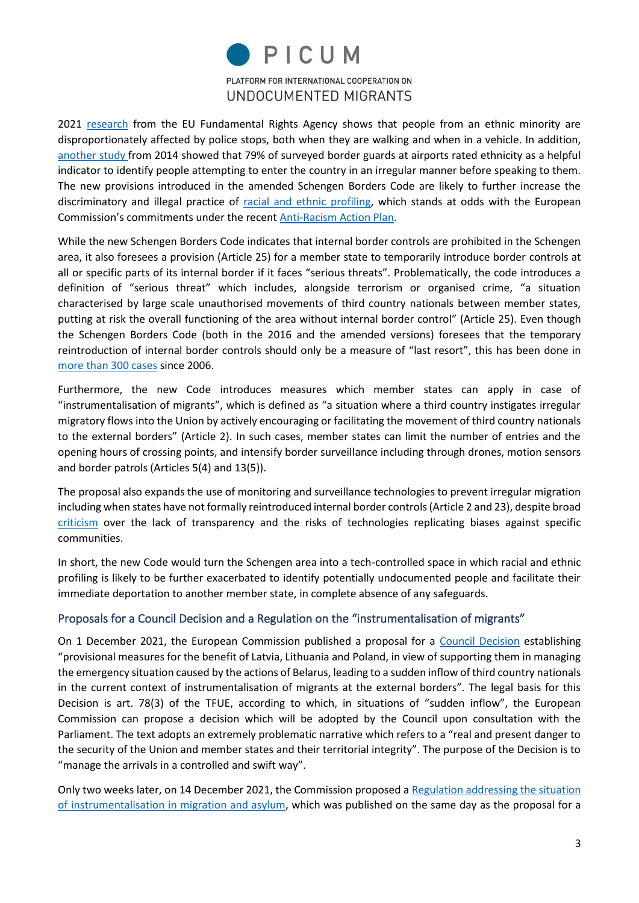

2021 [research](https://fra.europa.eu/sites/default/files/fra_uploads/fra-2021-fundamental-rights-survey-police-stops_en.pdf) from the EU Fundamental Rights Agency shows that people from an ethnic minority are disproportionately affected by police stops, both when they are walking and when in a vehicle. In addition, [another study](https://fra.europa.eu/sites/default/files/fra-2014-third-country-nationals-airport-border-checks_en.pdf) from 2014 showed that 79% of surveyed border guards at airports rated ethnicity as a helpful indicator to identify people attempting to enter the country in an irregular manner before speaking to them. The new provisions introduced in the amended Schengen Borders Code are likely to further increase the discriminatory and illegal practice of [racial and ethnic profiling,](https://www.enar-eu.org/Ethnic-Profiling-infographic) which stands at odds with the European Commission's commitments under the recent [Anti-Racism Action Plan.](https://ec.europa.eu/info/sites/default/files/a_union_of_equality_eu_action_plan_against_racism_2020_-2025_en.pdf)

While the new Schengen Borders Code indicates that internal border controls are prohibited in the Schengen area, it also foresees a provision (Article 25) for a member state to temporarily introduce border controls at all or specific parts of its internal border if it faces "serious threats". Problematically, the code introduces a definition of "serious threat" which includes, alongside terrorism or organised crime, "a situation characterised by large scale unauthorised movements of third country nationals between member states, putting at risk the overall functioning of the area without internal border control" (Article 25). Even though the Schengen Borders Code (both in the 2016 and the amended versions) foresees that the temporary reintroduction of internal border controls should only be a measure of "last resort", this has been done in [more than 300 cases](https://ec.europa.eu/home-affairs/system/files/2022-01/Full%20list%20of%20notifications%2014012022_en.pdf) since 2006.

Furthermore, the new Code introduces measures which member states can apply in case of "instrumentalisation of migrants", which is defined as "a situation where a third country instigates irregular migratory flows into the Union by actively encouraging or facilitating the movement of third country nationals to the external borders" (Article 2). In such cases, member states can limit the number of entries and the opening hours of crossing points, and intensify border surveillance including through drones, motion sensors and border patrols (Articles 5(4) and 13(5)).

The proposal also expands the use of monitoring and surveillance technologies to prevent irregular migration including when states have not formally reintroduced internal border controls (Article 2 and 23), despite broad [criticism](https://edri.org/wp-content/uploads/2020/11/Technological-Testing-Grounds.pdf) over the lack of transparency and the risks of technologies replicating biases against specific communities.

In short, the new Code would turn the Schengen area into a tech-controlled space in which racial and ethnic profiling is likely to be further exacerbated to identify potentially undocumented people and facilitate their immediate deportation to another member state, in complete absence of any safeguards.

#### <span id="page-2-0"></span>Proposals for a Council Decision and a Regulation on the "instrumentalisation of migrants"

On 1 December 2021, the European Commission published a proposal for a [Council Decision](https://eur-lex.europa.eu/legal-content/EN/TXT/HTML/?uri=CELEX:52021PC0752) establishing "provisional measures for the benefit of Latvia, Lithuania and Poland, in view of supporting them in managing the emergency situation caused by the actions of Belarus, leading to a sudden inflow of third country nationals in the current context of instrumentalisation of migrants at the external borders". The legal basis for this Decision is art. 78(3) of the TFUE, according to which, in situations of "sudden inflow", the European Commission can propose a decision which will be adopted by the Council upon consultation with the Parliament. The text adopts an extremely problematic narrative which refers to a "real and present danger to the security of the Union and member states and their territorial integrity". The purpose of the Decision is to "manage the arrivals in a controlled and swift way".

Only two weeks later, on 14 December 2021, the Commission proposed [a Regulation addressing the situation](https://ec.europa.eu/home-affairs/proposal-regulation-situations-instrumentalisation-field-migration-and-asylum-com-2021-890_en)  [of instrumentalisation in migration and asylum,](https://ec.europa.eu/home-affairs/proposal-regulation-situations-instrumentalisation-field-migration-and-asylum-com-2021-890_en) which was published on the same day as the proposal for a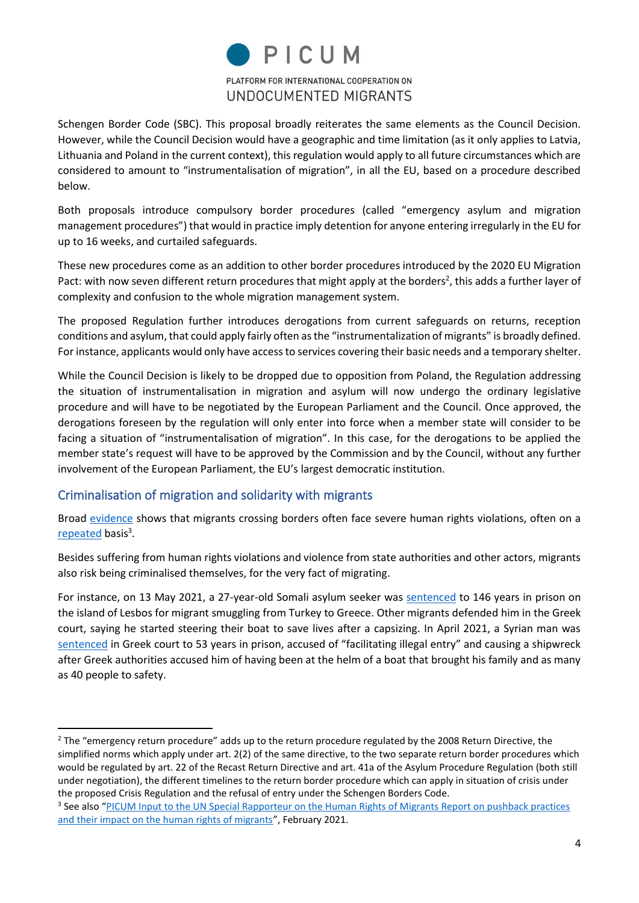

Schengen Border Code (SBC). This proposal broadly reiterates the same elements as the Council Decision. However, while the Council Decision would have a geographic and time limitation (as it only applies to Latvia, Lithuania and Poland in the current context), this regulation would apply to all future circumstances which are considered to amount to "instrumentalisation of migration", in all the EU, based on a procedure described below.

Both proposals introduce compulsory border procedures (called "emergency asylum and migration management procedures") that would in practice imply detention for anyone entering irregularly in the EU for up to 16 weeks, and curtailed safeguards.

These new procedures come as an addition to other border procedures introduced by the 2020 EU Migration Pact: with now seven different return procedures that might apply at the borders<sup>2</sup>, this adds a further layer of complexity and confusion to the whole migration management system.

The proposed Regulation further introduces derogations from current safeguards on returns, reception conditions and asylum, that could apply fairly often as the "instrumentalization of migrants" is broadly defined. For instance, applicants would only have access to services covering their basic needs and a temporary shelter.

While the Council Decision is likely to be dropped due to opposition from Poland, the Regulation addressing the situation of instrumentalisation in migration and asylum will now undergo the ordinary legislative procedure and will have to be negotiated by the European Parliament and the Council. Once approved, the derogations foreseen by the regulation will only enter into force when a member state will consider to be facing a situation of "instrumentalisation of migration". In this case, for the derogations to be applied the member state's request will have to be approved by the Commission and by the Council, without any further involvement of the European Parliament, the EU's largest democratic institution.

#### <span id="page-3-0"></span>Criminalisation of migration and solidarity with migrants

Broad [evidence](https://www.borderviolence.eu/) shows that migrants crossing borders often face severe human rights violations, often on a [repeated](https://parvin.forensic-architecture.org/) basis<sup>3</sup>.

Besides suffering from human rights violations and violence from state authorities and other actors, migrants also risk being criminalised themselves, for the very fact of migrating.

For instance, on 13 May 2021, a 27-year-old Somali asylum seeker was [sentenced](https://www.infomigrants.net/en/post/32248/greece-migrant-accused-of-smuggling-sentenced-to-146-years-in-prison) to 146 years in prison on the island of Lesbos for migrant smuggling from Turkey to Greece. Other migrants defended him in the Greek court, saying he started steering their boat to save lives after a capsizing. In April 2021, a Syrian man was [sentenced](https://ecre.org/greece-scandalous-sentence-for-young-refugee-request-to-commission-legal-action-before-ecthr-and-ombudsman-report-on-pushbacks/) in Greek court to 53 years in prison, accused of "facilitating illegal entry" and causing a shipwreck after Greek authorities accused him of having been at the helm of a boat that brought his family and as many as 40 people to safety.

<sup>&</sup>lt;sup>2</sup> The "emergency return procedure" adds up to the return procedure regulated by the 2008 Return Directive, the simplified norms which apply under art. 2(2) of the same directive, to the two separate return border procedures which would be regulated by art. 22 of the Recast Return Directive and art. 41a of the Asylum Procedure Regulation (both still under negotiation), the different timelines to the return border procedure which can apply in situation of crisis under the proposed Crisis Regulation and the refusal of entry under the Schengen Borders Code.

<sup>&</sup>lt;sup>3</sup> See also "PICUM Input to the UN Special Rapporteur on the Human Rights of Migrants Report on pushback practices [and their impact on the human rights of migrants](https://picum.org/wp-content/uploads/2021/05/PICUM-Submission-on-pushback-practices-and-their-impact_Feb2021_final.pdf)", February 2021.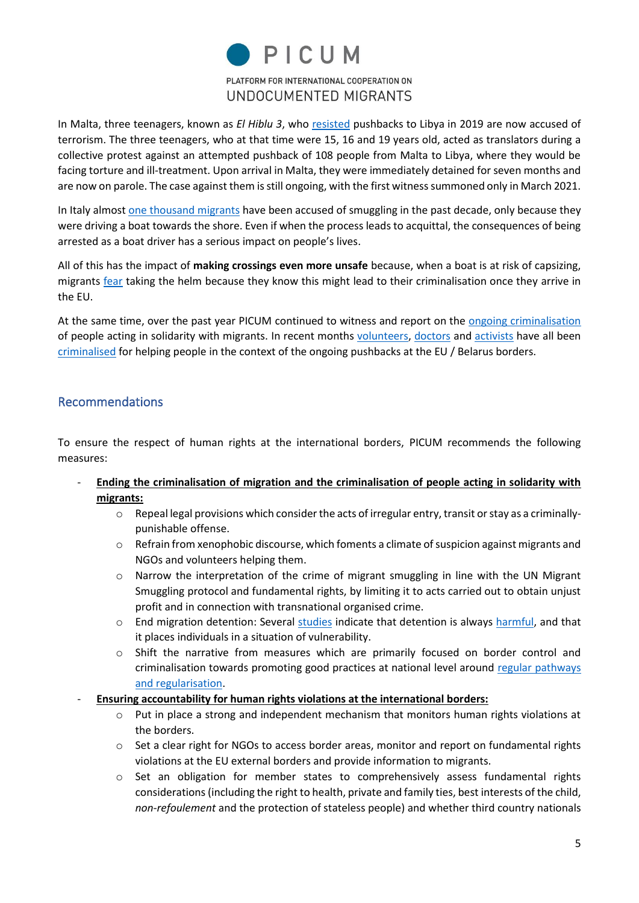

In Malta, three teenagers, known as *El Hiblu 3*, who [resisted](https://www.bbc.com/news/world-57988934) pushbacks to Libya in 2019 are now accused of terrorism. The three teenagers, who at that time were 15, 16 and 19 years old, acted as translators during a collective protest against an attempted pushback of 108 people from Malta to Libya, where they would be facing torture and ill-treatment. Upon arrival in Malta, they were immediately detained for seven months and are now on parole. The case against them is still ongoing, with the first witness summoned only in March 2021.

In Italy almost [one thousand migrants](https://fromseatoprison.info/) have been accused of smuggling in the past decade, only because they were driving a boat towards the shore. Even if when the process leads to acquittal, the consequences of being arrested as a boat driver has a serious impact on people's lives.

All of this has the impact of **making crossings even more unsafe** because, when a boat is at risk of capsizing, migrants [fear](https://eur03.safelinks.protection.outlook.com/?url=https%3A%2F%2Ffromseatoprison.info%2Fintroduction%2F&data=04%7C01%7Cmarta.gionco%40picum.org%7C03060d787a20464f94b108d9ebf9c159%7C1aa65992e5e043cbb33b8a4a696b4eca%7C1%7C1%7C637800280213623579%7CUnknown%7CTWFpbGZsb3d8eyJWIjoiMC4wLjAwMDAiLCJQIjoiV2luMzIiLCJBTiI6Ik1haWwiLCJXVCI6Mn0%3D%7C3000&sdata=3%2FXUynJPBo2gRitJDDY1uUrORSepGnqiefh5kHqeCQ4%3D&reserved=0) taking the helm because they know this might lead to their criminalisation once they arrive in the EU.

At the same time, over the past year PICUM continued to witness and report on the [ongoing criminalisation](https://picum.org/newsletters/) of people acting in solidarity with migrants. In recent months [volunteers,](https://www.lrt.lt/en/news-in-english/19/1572055/msf-among-volunteers-fined-for-helping-migrant-on-lithuania-belarus-border) [doctors](https://www.reuters.com/world/europe/locals-helping-migrants-poland-belarus-border-fear-backlash-2021-11-15/) and [activists](https://notesfrompoland.com/2021/11/01/polish-activists-found-with-iraqis-in-car-charged-with-aiding-illegal-crossings-over-belarus-border/) have all been [criminalised](https://eur03.safelinks.protection.outlook.com/?url=https%3A%2F%2Fwww.delfi.lt%2Fnews%2Fdaily%2Flithuania%2Fprieglobsti-afganistanieciams-suteikusi-lietuve-desto-kraupias-detales-jie-nesidrovejo-rodyti-fiziniu-suzalojimu-elektrosoko-zymiu.d%3Fid%3D88246571&data=04%7C01%7Cgianluca.cesaro%40picum.org%7Cd1cc726d5d6d461d31aa08d983379034%7C1aa65992e5e043cbb33b8a4a696b4eca%7C1%7C1%7C637685096961323391%7CUnknown%7CTWFpbGZsb3d8eyJWIjoiMC4wLjAwMDAiLCJQIjoiV2luMzIiLCJBTiI6Ik1haWwiLCJXVCI6Mn0%3D%7C3000&sdata=QD39R8mE4TvM6%2BAeGTwGs%2BObnxPnDOVGjd5gTlC3lEg%3D&reserved=0) for helping people in the context of the ongoing pushbacks at the EU / Belarus borders.

#### <span id="page-4-0"></span>Recommendations

To ensure the respect of human rights at the international borders, PICUM recommends the following measures:

- **Ending the criminalisation of migration and the criminalisation of people acting in solidarity with migrants:** 
	- o Repeal legal provisions which consider the acts of irregular entry, transit or stay as a criminallypunishable offense.
	- o Refrain from xenophobic discourse, which foments a climate of suspicion against migrants and NGOs and volunteers helping them.
	- o Narrow the interpretation of the crime of migrant smuggling in line with the UN Migrant Smuggling protocol and fundamental rights, by limiting it to acts carried out to obtain unjust profit and in connection with transnational organised crime.
	- $\circ$  End migration detention: Several [studies](https://undocs.org/A/HRC/20/24) indicate that detention is always [harmful,](https://bmcpsychiatry.biomedcentral.com/articles/10.1186/s12888-018-1945-y) and that it places individuals in a situation of vulnerability.
	- o Shift the narrative from measures which are primarily focused on border control and criminalisation towards promoting good practices at national level around [regular pathways](https://eur03.safelinks.protection.outlook.com/?url=https%3A%2F%2Fpicum.org%2Fwp-content%2Fuploads%2F2021%2F03%2FDesigning-labour-migration-policies-to-promote-decent-work-EN.pdf&data=04%7C01%7Cmarta.gionco%40picum.org%7C03060d787a20464f94b108d9ebf9c159%7C1aa65992e5e043cbb33b8a4a696b4eca%7C1%7C1%7C637800280213779824%7CUnknown%7CTWFpbGZsb3d8eyJWIjoiMC4wLjAwMDAiLCJQIjoiV2luMzIiLCJBTiI6Ik1haWwiLCJXVCI6Mn0%3D%7C3000&sdata=fh6fRkdWQsqNFAaqd%2FteHp%2FNe45mcpXlTxk%2FPZejUzg%3D&reserved=0)  [and regularisation.](https://eur03.safelinks.protection.outlook.com/?url=https%3A%2F%2Fpicum.org%2Fwp-content%2Fuploads%2F2021%2F03%2FDesigning-labour-migration-policies-to-promote-decent-work-EN.pdf&data=04%7C01%7Cmarta.gionco%40picum.org%7C03060d787a20464f94b108d9ebf9c159%7C1aa65992e5e043cbb33b8a4a696b4eca%7C1%7C1%7C637800280213779824%7CUnknown%7CTWFpbGZsb3d8eyJWIjoiMC4wLjAwMDAiLCJQIjoiV2luMzIiLCJBTiI6Ik1haWwiLCJXVCI6Mn0%3D%7C3000&sdata=fh6fRkdWQsqNFAaqd%2FteHp%2FNe45mcpXlTxk%2FPZejUzg%3D&reserved=0)
- **Ensuring accountability for human rights violations at the international borders:** 
	- $\circ$  Put in place a strong and independent mechanism that monitors human rights violations at the borders.
	- $\circ$  Set a clear right for NGOs to access border areas, monitor and report on fundamental rights violations at the EU external borders and provide information to migrants.
	- $\circ$  Set an obligation for member states to comprehensively assess fundamental rights considerations (including the right to health, private and family ties, best interests of the child, *non-refoulement* and the protection of stateless people) and whether third country nationals